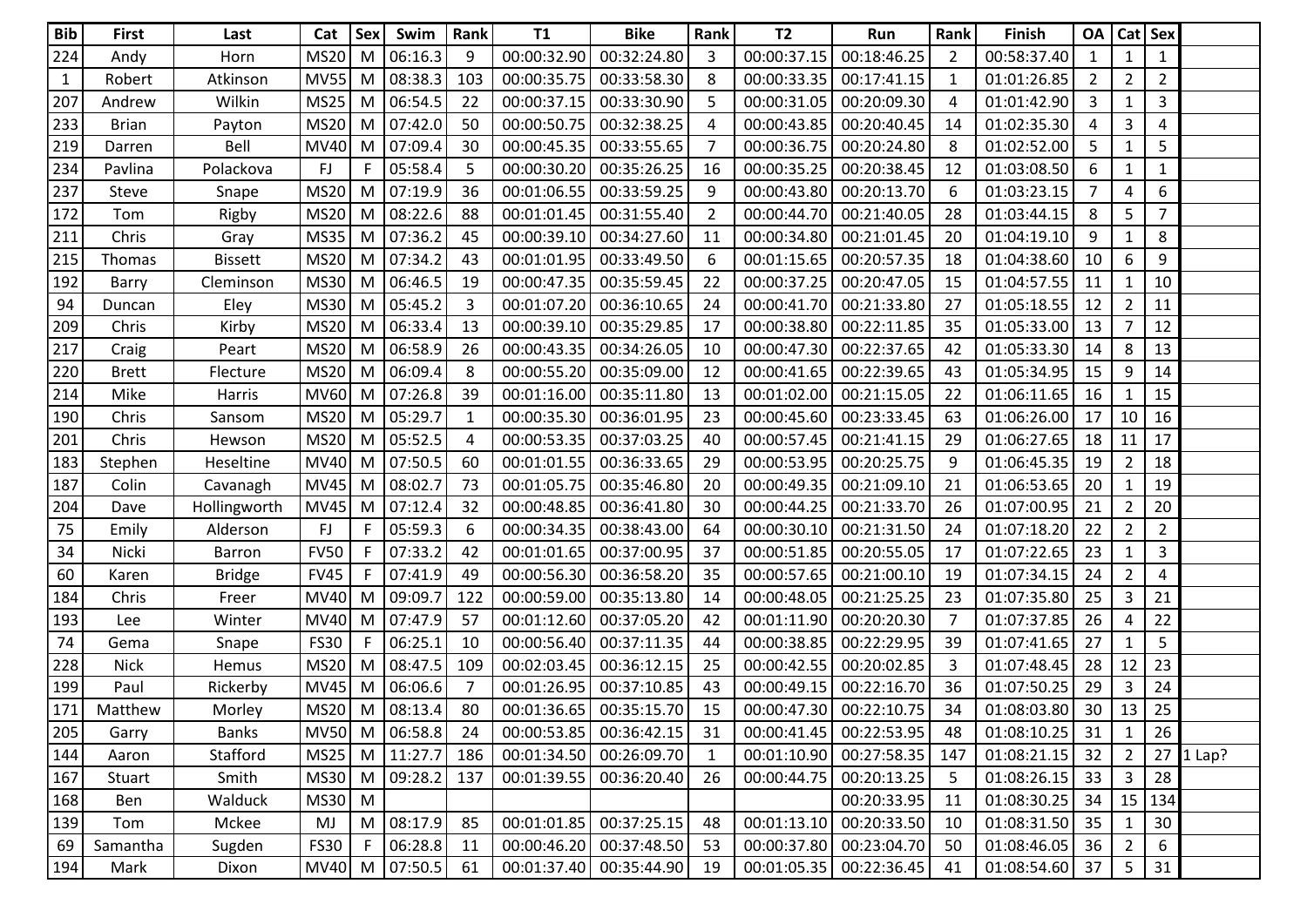| <b>Bib</b>   | <b>First</b> | Last           | Cat         | <b>Sex</b> | Swim    | Rank           | T1          | <b>Bike</b>             | Rank           | <b>T2</b>   | Run         | Rank           | Finish      | OA             | Cat Sex        |                |           |
|--------------|--------------|----------------|-------------|------------|---------|----------------|-------------|-------------------------|----------------|-------------|-------------|----------------|-------------|----------------|----------------|----------------|-----------|
| 224          | Andy         | Horn           | <b>MS20</b> | M          | 06:16.3 | 9              | 00:00:32.90 | 00:32:24.80             | 3              | 00:00:37.15 | 00:18:46.25 | $\overline{2}$ | 00:58:37.40 | $\mathbf{1}$   | 1              | 1              |           |
| $\mathbf{1}$ | Robert       | Atkinson       | <b>MV55</b> | M          | 08:38.3 | 103            | 00:00:35.75 | 00:33:58.30             | 8              | 00:00:33.35 | 00:17:41.15 | 1              | 01:01:26.85 | $\overline{2}$ | $\overline{2}$ | $\overline{2}$ |           |
| 207          | Andrew       | Wilkin         | <b>MS25</b> | M          | 06:54.5 | 22             | 00:00:37.15 | 00:33:30.90             | 5              | 00:00:31.05 | 00:20:09.30 | 4              | 01:01:42.90 | 3              | $\mathbf{1}$   | 3              |           |
| 233          | <b>Brian</b> | Payton         | <b>MS20</b> | M          | 07:42.0 | 50             | 00:00:50.75 | 00:32:38.25             | 4              | 00:00:43.85 | 00:20:40.45 | 14             | 01:02:35.30 | $\overline{4}$ | 3              | 4              |           |
| 219          | Darren       | Bell           | <b>MV40</b> | M          | 07:09.4 | 30             | 00:00:45.35 | 00:33:55.65             | $\overline{7}$ | 00:00:36.75 | 00:20:24.80 | 8              | 01:02:52.00 | 5              | 1              | 5              |           |
| 234          | Pavlina      | Polackova      | FJ          | F          | 05:58.4 | 5              | 00:00:30.20 | 00:35:26.25             | 16             | 00:00:35.25 | 00:20:38.45 | 12             | 01:03:08.50 | 6              | 1              | $\mathbf{1}$   |           |
| 237          | Steve        | Snape          | <b>MS20</b> | M          | 07:19.9 | 36             | 00:01:06.55 | 00:33:59.25             | 9              | 00:00:43.80 | 00:20:13.70 | 6              | 01:03:23.15 | $\overline{7}$ | 4              | 6              |           |
| 172          | Tom          | Rigby          | <b>MS20</b> | M          | 08:22.6 | 88             | 00:01:01.45 | 00:31:55.40             | $\overline{2}$ | 00:00:44.70 | 00:21:40.05 | 28             | 01:03:44.15 | 8              | 5              | 7              |           |
| 211          | Chris        | Gray           | <b>MS35</b> | M          | 07:36.2 | 45             | 00:00:39.10 | 00:34:27.60             | 11             | 00:00:34.80 | 00:21:01.45 | 20             | 01:04:19.10 | 9              | $\mathbf{1}$   | 8              |           |
| 215          | Thomas       | <b>Bissett</b> | <b>MS20</b> | M          | 07:34.2 | 43             | 00:01:01.95 | 00:33:49.50             | 6              | 00:01:15.65 | 00:20:57.35 | 18             | 01:04:38.60 | 10             | 6              | 9              |           |
| 192          | Barry        | Cleminson      | <b>MS30</b> | M          | 06:46.5 | 19             | 00:00:47.35 | 00:35:59.45             | 22             | 00:00:37.25 | 00:20:47.05 | 15             | 01:04:57.55 | 11             | 1              | 10             |           |
| 94           | Duncan       | Eley           | <b>MS30</b> | M          | 05:45.2 | 3              | 00:01:07.20 | 00:36:10.65             | 24             | 00:00:41.70 | 00:21:33.80 | 27             | 01:05:18.55 | 12             | $\overline{2}$ | 11             |           |
| 209          | Chris        | Kirby          | <b>MS20</b> | M          | 06:33.4 | 13             | 00:00:39.10 | 00:35:29.85             | 17             | 00:00:38.80 | 00:22:11.85 | 35             | 01:05:33.00 | 13             | $\overline{7}$ | 12             |           |
| 217          | Craig        | Peart          | <b>MS20</b> | M          | 06:58.9 | 26             | 00:00:43.35 | 00:34:26.05             | 10             | 00:00:47.30 | 00:22:37.65 | 42             | 01:05:33.30 | 14             | 8              | 13             |           |
| 220          | <b>Brett</b> | Flecture       | <b>MS20</b> | M          | 06:09.4 | 8              | 00:00:55.20 | 00:35:09.00             | 12             | 00:00:41.65 | 00:22:39.65 | 43             | 01:05:34.95 | 15             | 9              | 14             |           |
| 214          | Mike         | Harris         | <b>MV60</b> | M          | 07:26.8 | 39             | 00:01:16.00 | 00:35:11.80             | 13             | 00:01:02.00 | 00:21:15.05 | 22             | 01:06:11.65 | 16             | 1              | 15             |           |
| 190          | Chris        | Sansom         | <b>MS20</b> | M          | 05:29.7 | $\mathbf{1}$   | 00:00:35.30 | 00:36:01.95             | 23             | 00:00:45.60 | 00:23:33.45 | 63             | 01:06:26.00 | 17             | 10             | 16             |           |
| 201          | Chris        | Hewson         | <b>MS20</b> | M          | 05:52.5 | $\overline{4}$ | 00:00:53.35 | 00:37:03.25             | 40             | 00:00:57.45 | 00:21:41.15 | 29             | 01:06:27.65 | 18             | 11             | 17             |           |
| 183          | Stephen      | Heseltine      | <b>MV40</b> | M          | 07:50.5 | 60             | 00:01:01.55 | 00:36:33.65             | 29             | 00:00:53.95 | 00:20:25.75 | 9              | 01:06:45.35 | 19             | $\overline{2}$ | 18             |           |
| 187          | Colin        | Cavanagh       | <b>MV45</b> | M          | 08:02.7 | 73             | 00:01:05.75 | 00:35:46.80             | 20             | 00:00:49.35 | 00:21:09.10 | 21             | 01:06:53.65 | 20             | 1              | 19             |           |
| 204          | Dave         | Hollingworth   | <b>MV45</b> | M          | 07:12.4 | 32             | 00:00:48.85 | 00:36:41.80             | 30             | 00:00:44.25 | 00:21:33.70 | 26             | 01:07:00.95 | 21             | $\overline{2}$ | 20             |           |
| 75           | Emily        | Alderson       | FJ          |            | 05:59.3 | 6              | 00:00:34.35 | 00:38:43.00             | 64             | 00:00:30.10 | 00:21:31.50 | 24             | 01:07:18.20 | 22             | $\overline{2}$ | $\overline{2}$ |           |
| 34           | Nicki        | Barron         | <b>FV50</b> | F          | 07:33.2 | 42             | 00:01:01.65 | 00:37:00.95             | 37             | 00:00:51.85 | 00:20:55.05 | 17             | 01:07:22.65 | 23             | 1              | 3              |           |
| 60           | Karen        | <b>Bridge</b>  | <b>FV45</b> |            | 07:41.9 | 49             | 00:00:56.30 | 00:36:58.20             | 35             | 00:00:57.65 | 00:21:00.10 | 19             | 01:07:34.15 | 24             | $\overline{2}$ | 4              |           |
| 184          | Chris        | Freer          | <b>MV40</b> | M          | 09:09.7 | 122            | 00:00:59.00 | 00:35:13.80             | 14             | 00:00:48.05 | 00:21:25.25 | 23             | 01:07:35.80 | 25             | 3              | 21             |           |
| 193          | Lee          | Winter         | <b>MV40</b> | M          | 07:47.9 | 57             | 00:01:12.60 | 00:37:05.20             | 42             | 00:01:11.90 | 00:20:20.30 | $\overline{7}$ | 01:07:37.85 | 26             | 4              | 22             |           |
| 74           | Gema         | Snape          | <b>FS30</b> |            | 06:25.1 | 10             | 00:00:56.40 | 00:37:11.35             | 44             | 00:00:38.85 | 00:22:29.95 | 39             | 01:07:41.65 | 27             | 1              | 5              |           |
| 228          | <b>Nick</b>  | Hemus          | <b>MS20</b> | M          | 08:47.5 | 109            | 00:02:03.45 | 00:36:12.15             | 25             | 00:00:42.55 | 00:20:02.85 | 3              | 01:07:48.45 | 28             | 12             | 23             |           |
| 199          | Paul         | Rickerby       | <b>MV45</b> | M          | 06:06.6 | $\overline{7}$ | 00:01:26.95 | 00:37:10.85             | 43             | 00:00:49.15 | 00:22:16.70 | 36             | 01:07:50.25 | 29             | 3              | 24             |           |
| 171          | Matthew      | Morley         | <b>MS20</b> | M          | 08:13.4 | 80             | 00:01:36.65 | 00:35:15.70             | 15             | 00:00:47.30 | 00:22:10.75 | 34             | 01:08:03.80 | 30             | 13             | 25             |           |
| 205          | Garry        | <b>Banks</b>   | MV50 M      |            | 06:58.8 | 24             |             | 00:00:53.85 00:36:42.15 | 31             | 00:00:41.45 | 00:22:53.95 | 48             | 01:08:10.25 | 31             | $\overline{1}$ | 26             |           |
| 144          | Aaron        | Stafford       | MS25        | M          | 11:27.7 | 186            | 00:01:34.50 | 00:26:09.70             | 1              | 00:01:10.90 | 00:27:58.35 | 147            | 01:08:21.15 | 32             | $\overline{2}$ |                | 27 1 Lap? |
| 167          | Stuart       | Smith          | <b>MS30</b> | M          | 09:28.2 | 137            | 00:01:39.55 | 00:36:20.40             | 26             | 00:00:44.75 | 00:20:13.25 | 5              | 01:08:26.15 | 33             | 3              | 28             |           |
| 168          | Ben          | Walduck        | <b>MS30</b> | M          |         |                |             |                         |                |             | 00:20:33.95 | 11             | 01:08:30.25 | 34             | 15             | 134            |           |
| 139          | Tom          | Mckee          | MJ          | M          | 08:17.9 | 85             | 00:01:01.85 | 00:37:25.15             | 48             | 00:01:13.10 | 00:20:33.50 | 10             | 01:08:31.50 | 35             | $\mathbf{1}$   | 30             |           |
| 69           | Samantha     | Sugden         | <b>FS30</b> |            | 06:28.8 | 11             | 00:00:46.20 | 00:37:48.50             | 53             | 00:00:37.80 | 00:23:04.70 | 50             | 01:08:46.05 | 36             | $\overline{2}$ | 6              |           |
| 194          | Mark         | Dixon          | MV40 M      |            | 07:50.5 | 61             |             | 00:01:37.40 00:35:44.90 | 19             | 00:01:05.35 | 00:22:36.45 | 41             | 01:08:54.60 | 37             | 5              | 31             |           |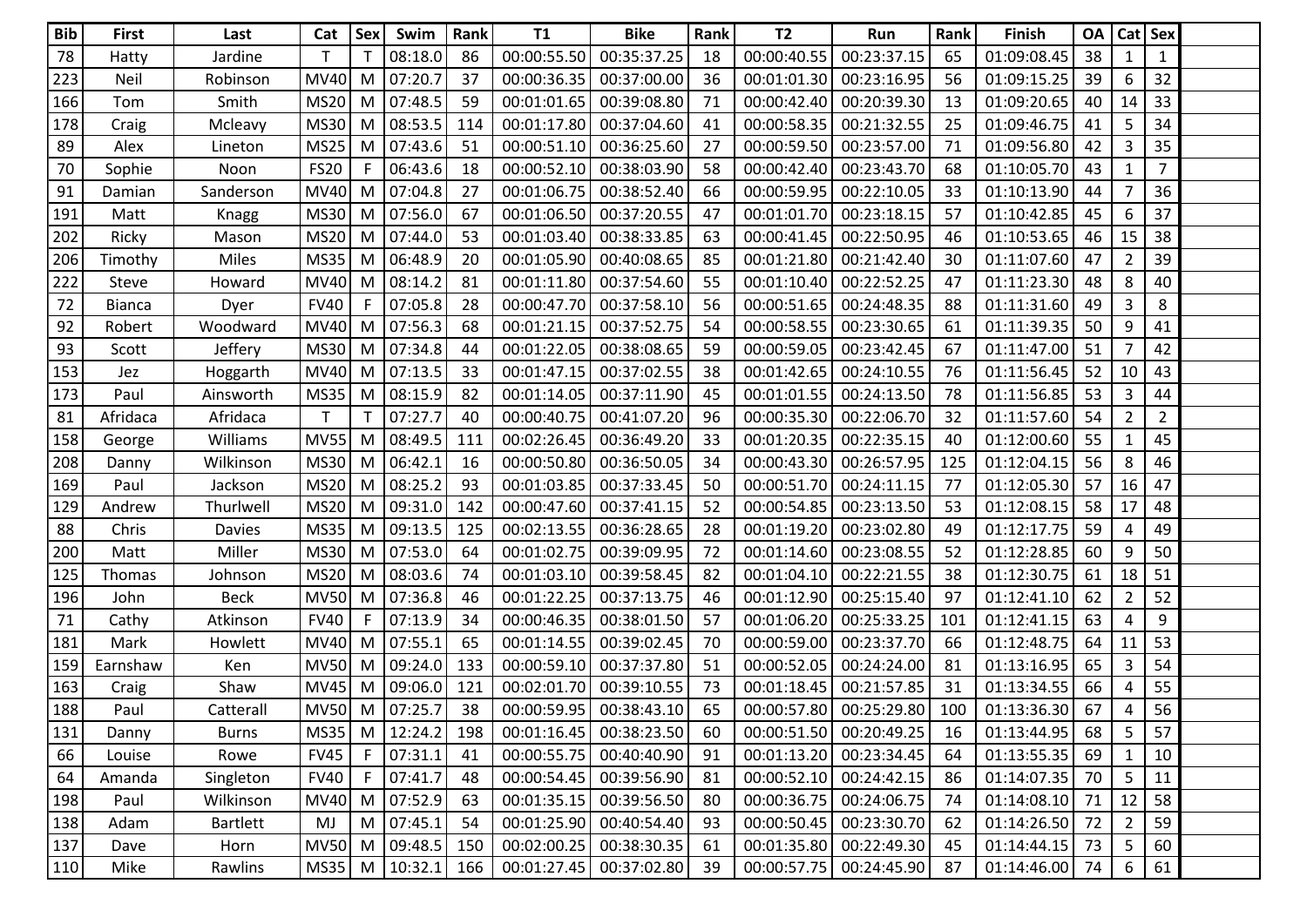| <b>Bib</b> | <b>First</b> | Last            | Cat         | Sex | Swim    | Rank | <b>T1</b>   | <b>Bike</b>               | Rank | T <sub>2</sub> | Run                     | Rank | <b>Finish</b> | <b>OA</b> |                         | Cat Sex        |  |
|------------|--------------|-----------------|-------------|-----|---------|------|-------------|---------------------------|------|----------------|-------------------------|------|---------------|-----------|-------------------------|----------------|--|
| ${\bf 78}$ | Hatty        | Jardine         | T.          |     | 08:18.0 | 86   | 00:00:55.50 | 00:35:37.25               | 18   | 00:00:40.55    | 00:23:37.15             | 65   | 01:09:08.45   | 38        | 1                       |                |  |
| 223        | <b>Neil</b>  | Robinson        | <b>MV40</b> | M   | 07:20.7 | 37   | 00:00:36.35 | 00:37:00.00               | 36   | 00:01:01.30    | 00:23:16.95             | 56   | 01:09:15.25   | 39        | 6                       | 32             |  |
| 166        | Tom          | Smith           | <b>MS20</b> | M   | 07:48.5 | 59   | 00:01:01.65 | 00:39:08.80               | 71   | 00:00:42.40    | 00:20:39.30             | 13   | 01:09:20.65   | 40        | 14                      | 33             |  |
| 178        | Craig        | Mcleavy         | <b>MS30</b> | M   | 08:53.5 | 114  | 00:01:17.80 | 00:37:04.60               | 41   | 00:00:58.35    | 00:21:32.55             | 25   | 01:09:46.75   | 41        | -5                      | 34             |  |
| 89         | Alex         | Lineton         | <b>MS25</b> | M   | 07:43.6 | 51   | 00:00:51.10 | 00:36:25.60               | 27   | 00:00:59.50    | 00:23:57.00             | 71   | 01:09:56.80   | 42        | 3                       | 35             |  |
| 70         | Sophie       | Noon            | <b>FS20</b> | F   | 06:43.6 | 18   | 00:00:52.10 | 00:38:03.90               | 58   | 00:00:42.40    | 00:23:43.70             | 68   | 01:10:05.70   | 43        | 1                       | $\overline{7}$ |  |
| 91         | Damian       | Sanderson       | <b>MV40</b> | M   | 07:04.8 | 27   | 00:01:06.75 | 00:38:52.40               | 66   | 00:00:59.95    | 00:22:10.05             | 33   | 01:10:13.90   | 44        | 7                       | 36             |  |
| 191        | Matt         | Knagg           | <b>MS30</b> | M   | 07:56.0 | 67   | 00:01:06.50 | 00:37:20.55               | 47   | 00:01:01.70    | 00:23:18.15             | 57   | 01:10:42.85   | 45        | 6                       | 37             |  |
| 202        | Ricky        | Mason           | <b>MS20</b> | M   | 07:44.0 | 53   | 00:01:03.40 | 00:38:33.85               | 63   | 00:00:41.45    | 00:22:50.95             | 46   | 01:10:53.65   | 46        | 15                      | 38             |  |
| 206        | Timothy      | Miles           | <b>MS35</b> | M   | 06:48.9 | 20   | 00:01:05.90 | 00:40:08.65               | 85   | 00:01:21.80    | 00:21:42.40             | 30   | 01:11:07.60   | 47        | $\overline{2}$          | 39             |  |
| 222        | Steve        | Howard          | <b>MV40</b> | M   | 08:14.2 | 81   | 00:01:11.80 | 00:37:54.60               | 55   | 00:01:10.40    | 00:22:52.25             | 47   | 01:11:23.30   | 48        | 8                       | 40             |  |
| 72         | Bianca       | Dyer            | <b>FV40</b> |     | 07:05.8 | 28   | 00:00:47.70 | 00:37:58.10               | 56   | 00:00:51.65    | 00:24:48.35             | 88   | 01:11:31.60   | 49        | 3                       | 8              |  |
| 92         | Robert       | Woodward        | <b>MV40</b> | M   | 07:56.3 | 68   | 00:01:21.15 | 00:37:52.75               | 54   | 00:00:58.55    | 00:23:30.65             | 61   | 01:11:39.35   | 50        | 9                       | 41             |  |
| 93         | Scott        | Jeffery         | <b>MS30</b> | M   | 07:34.8 | 44   | 00:01:22.05 | 00:38:08.65               | 59   | 00:00:59.05    | 00:23:42.45             | 67   | 01:11:47.00   | 51        | 7                       | 42             |  |
| 153        | Jez          | Hoggarth        | <b>MV40</b> | M   | 07:13.5 | 33   | 00:01:47.15 | 00:37:02.55               | 38   | 00:01:42.65    | 00:24:10.55             | 76   | 01:11:56.45   | 52        | 10                      | 43             |  |
| 173        | Paul         | Ainsworth       | <b>MS35</b> | M   | 08:15.9 | 82   | 00:01:14.05 | 00:37:11.90               | 45   | 00:01:01.55    | 00:24:13.50             | 78   | 01:11:56.85   | 53        | $\overline{3}$          | 44             |  |
| 81         | Afridaca     | Afridaca        | T           |     | 07:27.7 | 40   | 00:00:40.75 | 00:41:07.20               | 96   | 00:00:35.30    | 00:22:06.70             | 32   | 01:11:57.60   | 54        | $\overline{2}$          | $\overline{2}$ |  |
| 158        | George       | Williams        | <b>MV55</b> | M   | 08:49.5 | 111  | 00:02:26.45 | 00:36:49.20               | 33   | 00:01:20.35    | 00:22:35.15             | 40   | 01:12:00.60   | 55        | $\mathbf{1}$            | 45             |  |
| 208        | Danny        | Wilkinson       | <b>MS30</b> | M   | 06:42.1 | 16   | 00:00:50.80 | 00:36:50.05               | 34   | 00:00:43.30    | 00:26:57.95             | 125  | 01:12:04.15   | 56        | 8                       | 46             |  |
| 169        | Paul         | Jackson         | <b>MS20</b> | M   | 08:25.2 | 93   | 00:01:03.85 | 00:37:33.45               | 50   | 00:00:51.70    | 00:24:11.15             | 77   | 01:12:05.30   | 57        | 16                      | 47             |  |
| 129        | Andrew       | Thurlwell       | <b>MS20</b> | M   | 09:31.0 | 142  | 00:00:47.60 | 00:37:41.15               | 52   | 00:00:54.85    | 00:23:13.50             | 53   | 01:12:08.15   | 58        | 17                      | 48             |  |
| 88         | Chris        | <b>Davies</b>   | <b>MS35</b> | M   | 09:13.5 | 125  | 00:02:13.55 | 00:36:28.65               | 28   | 00:01:19.20    | 00:23:02.80             | 49   | 01:12:17.75   | 59        | 4                       | 49             |  |
| 200        | Matt         | Miller          | <b>MS30</b> | M   | 07:53.0 | 64   | 00:01:02.75 | 00:39:09.95               | 72   | 00:01:14.60    | 00:23:08.55             | 52   | 01:12:28.85   | 60        | 9                       | 50             |  |
| 125        | Thomas       | Johnson         | <b>MS20</b> | M   | 08:03.6 | 74   | 00:01:03.10 | 00:39:58.45               | 82   | 00:01:04.10    | 00:22:21.55             | 38   | 01:12:30.75   | 61        | 18                      | 51             |  |
| 196        | John         | <b>Beck</b>     | <b>MV50</b> | M   | 07:36.8 | 46   | 00:01:22.25 | 00:37:13.75               | 46   | 00:01:12.90    | 00:25:15.40             | 97   | 01:12:41.10   | 62        | $\overline{2}$          | 52             |  |
| $71\,$     | Cathy        | Atkinson        | <b>FV40</b> | F   | 07:13.9 | 34   | 00:00:46.35 | 00:38:01.50               | 57   | 00:01:06.20    | 00:25:33.25             | 101  | 01:12:41.15   | 63        | 4                       | 9              |  |
| 181        | Mark         | Howlett         | <b>MV40</b> | M   | 07:55.1 | 65   | 00:01:14.55 | 00:39:02.45               | 70   | 00:00:59.00    | 00:23:37.70             | 66   | 01:12:48.75   | 64        | 11                      | 53             |  |
| 159        | Earnshaw     | Ken             | <b>MV50</b> | M   | 09:24.0 | 133  | 00:00:59.10 | 00:37:37.80               | 51   | 00:00:52.05    | 00:24:24.00             | 81   | 01:13:16.95   | 65        | $\overline{\mathbf{3}}$ | 54             |  |
| 163        | Craig        | Shaw            | <b>MV45</b> | M   | 09:06.0 | 121  | 00:02:01.70 | 00:39:10.55               | 73   | 00:01:18.45    | 00:21:57.85             | 31   | 01:13:34.55   | 66        | 4                       | 55             |  |
| 188        | Paul         | Catterall       | MV50 M      |     | 07:25.7 | 38   | 00:00:59.95 | 00:38:43.10               | 65   | 00:00:57.80    | 00:25:29.80             | 100  | 01:13:36.30   | 67        | $\overline{4}$          | 56             |  |
| 131        | Danny        | <b>Burns</b>    | <b>MS35</b> | M   | 12:24.2 | 198  |             | 00:01:16.45   00:38:23.50 | 60   |                | 00:00:51.50 00:20:49.25 | 16   | 01:13:44.95   | 68        | 5                       | 57             |  |
| 66         | Louise       | Rowe            | <b>FV45</b> | F   | 07:31.1 | 41   |             | 00:00:55.75 00:40:40.90   | 91   | 00:01:13.20    | 00:23:34.45             | 64   | 01:13:55.35   | 69        | $\mathbf 1$             | 10             |  |
| 64         | Amanda       | Singleton       | <b>FV40</b> | F.  | 07:41.7 | 48   |             | 00:00:54.45 00:39:56.90   | 81   | 00:00:52.10    | 00:24:42.15             | 86   | 01:14:07.35   | 70        | 5                       | 11             |  |
| 198        | Paul         | Wilkinson       | <b>MV40</b> | M   | 07:52.9 | 63   | 00:01:35.15 | 00:39:56.50               | 80   | 00:00:36.75    | 00:24:06.75             | 74   | 01:14:08.10   | 71        | 12                      | 58             |  |
| 138        | Adam         | <b>Bartlett</b> | MJ          | M   | 07:45.1 | 54   | 00:01:25.90 | 00:40:54.40               | 93   | 00:00:50.45    | 00:23:30.70             | 62   | 01:14:26.50   | 72        | $\overline{2}$          | 59             |  |
| 137        | Dave         | Horn            | <b>MV50</b> | M   | 09:48.5 | 150  | 00:02:00.25 | 00:38:30.35               | 61   | 00:01:35.80    | 00:22:49.30             | 45   | 01:14:44.15   | 73        | 5                       | 60             |  |
| 110        | Mike         | Rawlins         | MS35        | M   | 10:32.1 | 166  |             | 00:01:27.45 00:37:02.80   | 39   | 00:00:57.75    | 00:24:45.90             | 87   | 01:14:46.00   | 74        | 6                       | 61             |  |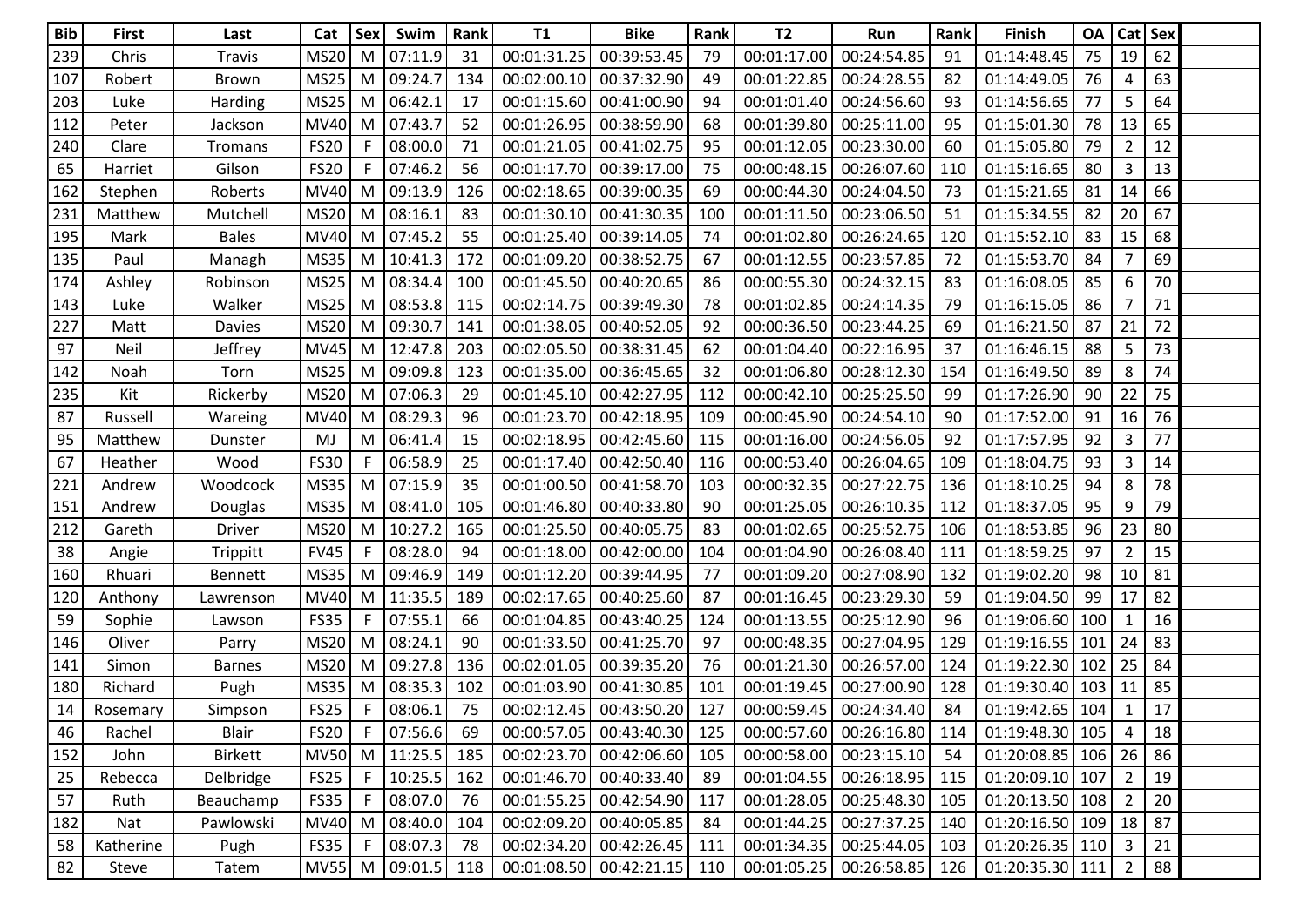| <b>Bib</b> | <b>First</b> | Last           | Cat              | <b>Sex</b> | Swim    | Rank | <b>T1</b>   | <b>Bike</b>                 | Rank | <b>T2</b>   | Run                     | Rank | <b>Finish</b>        | <b>OA</b> |                            | Cat Sex |  |
|------------|--------------|----------------|------------------|------------|---------|------|-------------|-----------------------------|------|-------------|-------------------------|------|----------------------|-----------|----------------------------|---------|--|
| 239        | Chris        | <b>Travis</b>  | <b>MS20</b>      | M          | 07:11.9 | 31   | 00:01:31.25 | 00:39:53.45                 | 79   | 00:01:17.00 | 00:24:54.85             | 91   | 01:14:48.45          | 75        | 19                         | 62      |  |
| 107        | Robert       | <b>Brown</b>   | <b>MS25</b>      | M          | 09:24.7 | 134  | 00:02:00.10 | 00:37:32.90                 | 49   | 00:01:22.85 | 00:24:28.55             | 82   | 01:14:49.05          | 76        | 4                          | 63      |  |
| 203        | Luke         | <b>Harding</b> | <b>MS25</b>      | M          | 06:42.1 | 17   | 00:01:15.60 | 00:41:00.90                 | 94   | 00:01:01.40 | 00:24:56.60             | 93   | 01:14:56.65          | 77        | 5                          | 64      |  |
| 112        | Peter        | Jackson        | <b>MV40</b>      | M          | 07:43.7 | 52   | 00:01:26.95 | 00:38:59.90                 | 68   | 00:01:39.80 | 00:25:11.00             | 95   | 01:15:01.30          | 78        | 13                         | 65      |  |
| 240        | Clare        | Tromans        | <b>FS20</b>      |            | 08:00.0 | 71   | 00:01:21.05 | 00:41:02.75                 | 95   | 00:01:12.05 | 00:23:30.00             | 60   | 01:15:05.80          | 79        | 2                          | 12      |  |
| 65         | Harriet      | Gilson         | <b>FS20</b>      | F          | 07:46.2 | 56   | 00:01:17.70 | 00:39:17.00                 | 75   | 00:00:48.15 | 00:26:07.60             | 110  | 01:15:16.65          | 80        | 3                          | 13      |  |
| 162        | Stephen      | Roberts        | <b>MV40</b>      | M          | 09:13.9 | 126  | 00:02:18.65 | 00:39:00.35                 | 69   | 00:00:44.30 | 00:24:04.50             | 73   | 01:15:21.65          | 81        | 14                         | 66      |  |
| 231        | Matthew      | Mutchell       | <b>MS20</b>      | M          | 08:16.1 | 83   | 00:01:30.10 | 00:41:30.35                 | 100  | 00:01:11.50 | 00:23:06.50             | 51   | 01:15:34.55          | 82        | 20                         | 67      |  |
| 195        | Mark         | <b>Bales</b>   | <b>MV40</b>      | M          | 07:45.2 | 55   | 00:01:25.40 | 00:39:14.05                 | 74   | 00:01:02.80 | 00:26:24.65             | 120  | 01:15:52.10          | 83        | 15                         | 68      |  |
| 135        | Paul         | Managh         | <b>MS35</b>      | M          | 10:41.3 | 172  | 00:01:09.20 | 00:38:52.75                 | 67   | 00:01:12.55 | 00:23:57.85             | 72   | 01:15:53.70          | 84        |                            | 69      |  |
| 174        | Ashley       | Robinson       | <b>MS25</b>      | M          | 08:34.4 | 100  | 00:01:45.50 | 00:40:20.65                 | 86   | 00:00:55.30 | 00:24:32.15             | 83   | 01:16:08.05          | 85        | 6                          | 70      |  |
| 143        | Luke         | Walker         | <b>MS25</b>      | M          | 08:53.8 | 115  | 00:02:14.75 | 00:39:49.30                 | 78   | 00:01:02.85 | 00:24:14.35             | 79   | 01:16:15.05          | 86        | 7                          | 71      |  |
| 227        | Matt         | Davies         | <b>MS20</b>      | M          | 09:30.7 | 141  | 00:01:38.05 | 00:40:52.05                 | 92   | 00:00:36.50 | 00:23:44.25             | 69   | 01:16:21.50          | 87        | 21                         | 72      |  |
| 97         | Neil         | Jeffrey        | <b>MV45</b>      | M          | 12:47.8 | 203  | 00:02:05.50 | 00:38:31.45                 | 62   | 00:01:04.40 | 00:22:16.95             | 37   | 01:16:46.15          | 88        | 5                          | 73      |  |
| 142        | Noah         | Torn           | <b>MS25</b>      | M          | 09:09.8 | 123  | 00:01:35.00 | 00:36:45.65                 | 32   | 00:01:06.80 | 00:28:12.30             | 154  | 01:16:49.50          | 89        | 8                          | 74      |  |
| 235        | Kit          | Rickerby       | <b>MS20</b>      | M          | 07:06.3 | 29   | 00:01:45.10 | 00:42:27.95                 | 112  | 00:00:42.10 | 00:25:25.50             | 99   | 01:17:26.90          | 90        | 22                         | 75      |  |
| 87         | Russell      | Wareing        | MV40             | M          | 08:29.3 | 96   | 00:01:23.70 | 00:42:18.95                 | 109  | 00:00:45.90 | 00:24:54.10             | 90   | 01:17:52.00          | 91        | 16                         | 76      |  |
| 95         | Matthew      | Dunster        | MJ               | M          | 06:41.4 | 15   | 00:02:18.95 | 00:42:45.60                 | 115  | 00:01:16.00 | 00:24:56.05             | 92   | 01:17:57.95          | 92        | $\overline{3}$             | 77      |  |
| 67         | Heather      | Wood           | <b>FS30</b>      | F          | 06:58.9 | 25   | 00:01:17.40 | 00:42:50.40                 | 116  | 00:00:53.40 | 00:26:04.65             | 109  | 01:18:04.75          | 93        | $\overline{3}$             | 14      |  |
| 221        | Andrew       | Woodcock       | <b>MS35</b>      | M          | 07:15.9 | 35   | 00:01:00.50 | 00:41:58.70                 | 103  | 00:00:32.35 | 00:27:22.75             | 136  | 01:18:10.25          | 94        | 8                          | 78      |  |
| 151        | Andrew       | Douglas        | <b>MS35</b>      | M          | 08:41.0 | 105  | 00:01:46.80 | 00:40:33.80                 | 90   | 00:01:25.05 | 00:26:10.35             | 112  | 01:18:37.05          | 95        | 9                          | 79      |  |
| 212        | Gareth       | Driver         | <b>MS20</b>      | M          | 10:27.2 | 165  | 00:01:25.50 | 00:40:05.75                 | 83   | 00:01:02.65 | 00:25:52.75             | 106  | 01:18:53.85          | 96        | 23                         | 80      |  |
| 38         | Angie        | Trippitt       | <b>FV45</b>      | F          | 08:28.0 | 94   | 00:01:18.00 | 00:42:00.00                 | 104  | 00:01:04.90 | 00:26:08.40             | 111  | 01:18:59.25          | 97        | $\overline{2}$             | 15      |  |
| 160        | Rhuari       | <b>Bennett</b> | <b>MS35</b>      | M          | 09:46.9 | 149  | 00:01:12.20 | 00:39:44.95                 | 77   | 00:01:09.20 | 00:27:08.90             | 132  | 01:19:02.20          | 98        | 10                         | 81      |  |
| 120        | Anthony      | Lawrenson      | <b>MV40</b>      | M          | 11:35.5 | 189  | 00:02:17.65 | 00:40:25.60                 | 87   | 00:01:16.45 | 00:23:29.30             | 59   | 01:19:04.50          | 99        | 17                         | 82      |  |
| 59         | Sophie       | Lawson         | <b>FS35</b>      | F          | 07:55.1 | 66   | 00:01:04.85 | 00:43:40.25                 | 124  | 00:01:13.55 | 00:25:12.90             | 96   | 01:19:06.60          | 100       | $\mathbf 1$                | 16      |  |
| 146        | Oliver       | Parry          | <b>MS20</b>      | M          | 08:24.1 | 90   | 00:01:33.50 | 00:41:25.70                 | 97   | 00:00:48.35 | 00:27:04.95             | 129  | 01:19:16.55          | 101       | 24                         | 83      |  |
| 141        | Simon        | <b>Barnes</b>  | <b>MS20</b>      | M          | 09:27.8 | 136  | 00:02:01.05 | 00:39:35.20                 | 76   | 00:01:21.30 | 00:26:57.00             | 124  | 01:19:22.30          | 102       | 25                         | 84      |  |
| 180        | Richard      | Pugh           | <b>MS35</b>      | M          | 08:35.3 | 102  | 00:01:03.90 | 00:41:30.85                 | 101  | 00:01:19.45 | 00:27:00.90             | 128  | 01:19:30.40          | 103       | 11                         | 85      |  |
| 14         | Rosemary     | Simpson        | FS25             | F          | 08:06.1 | 75   | 00:02:12.45 | 00:43:50.20                 | 127  | 00:00:59.45 | 00:24:34.40             | 84   | $01:19:42.65$ 104    |           | $\mathbf{1}$               | 17      |  |
| 46         | Rachel       | Blair          | <b>FS20</b>      | F          | 07:56.6 | 69   |             | 00:00:57.05 00:43:40.30 125 |      |             | 00:00:57.60 00:26:16.80 | 114  | $01:19:48.30$ 105    |           | $\overline{4}$             | 18      |  |
| 152        | John         | <b>Birkett</b> | <b>MV50</b>      | M          | 11:25.5 | 185  | 00:02:23.70 | 00:42:06.60                 | 105  | 00:00:58.00 | 00:23:15.10             | 54   | $01:20:08.85$ 106 26 |           |                            | 86      |  |
| 25         | Rebecca      | Delbridge      | FS <sub>25</sub> | F          | 10:25.5 | 162  | 00:01:46.70 | 00:40:33.40                 | 89   | 00:01:04.55 | 00:26:18.95             | 115  | $01:20:09.10$ 107 2  |           |                            | 19      |  |
| 57         | Ruth         | Beauchamp      | <b>FS35</b>      | F          | 08:07.0 | 76   | 00:01:55.25 | 00:42:54.90                 | 117  | 00:01:28.05 | 00:25:48.30             | 105  | $01:20:13.50$ 108    |           | $\overline{\phantom{0}}$ 2 | 20      |  |
| 182        | Nat          | Pawlowski      | <b>MV40</b>      | M          | 08:40.0 | 104  | 00:02:09.20 | 00:40:05.85                 | 84   | 00:01:44.25 | 00:27:37.25             | 140  | $01:20:16.50$ 109 18 |           |                            | 87      |  |
| 58         | Katherine    | Pugh           | FS35             |            | 08:07.3 | 78   | 00:02:34.20 | 00:42:26.45                 | 111  | 00:01:34.35 | 00:25:44.05             | 103  | $01:20:26.35$ 110 3  |           |                            | 21      |  |
| 82         | Steve        | Tatem          | MV55 M           |            | 09:01.5 | 118  |             | 00:01:08.50 00:42:21.15 110 |      | 00:01:05.25 | 00:26:58.85             | 126  | $01:20:35.30$ 111 2  |           |                            | 88      |  |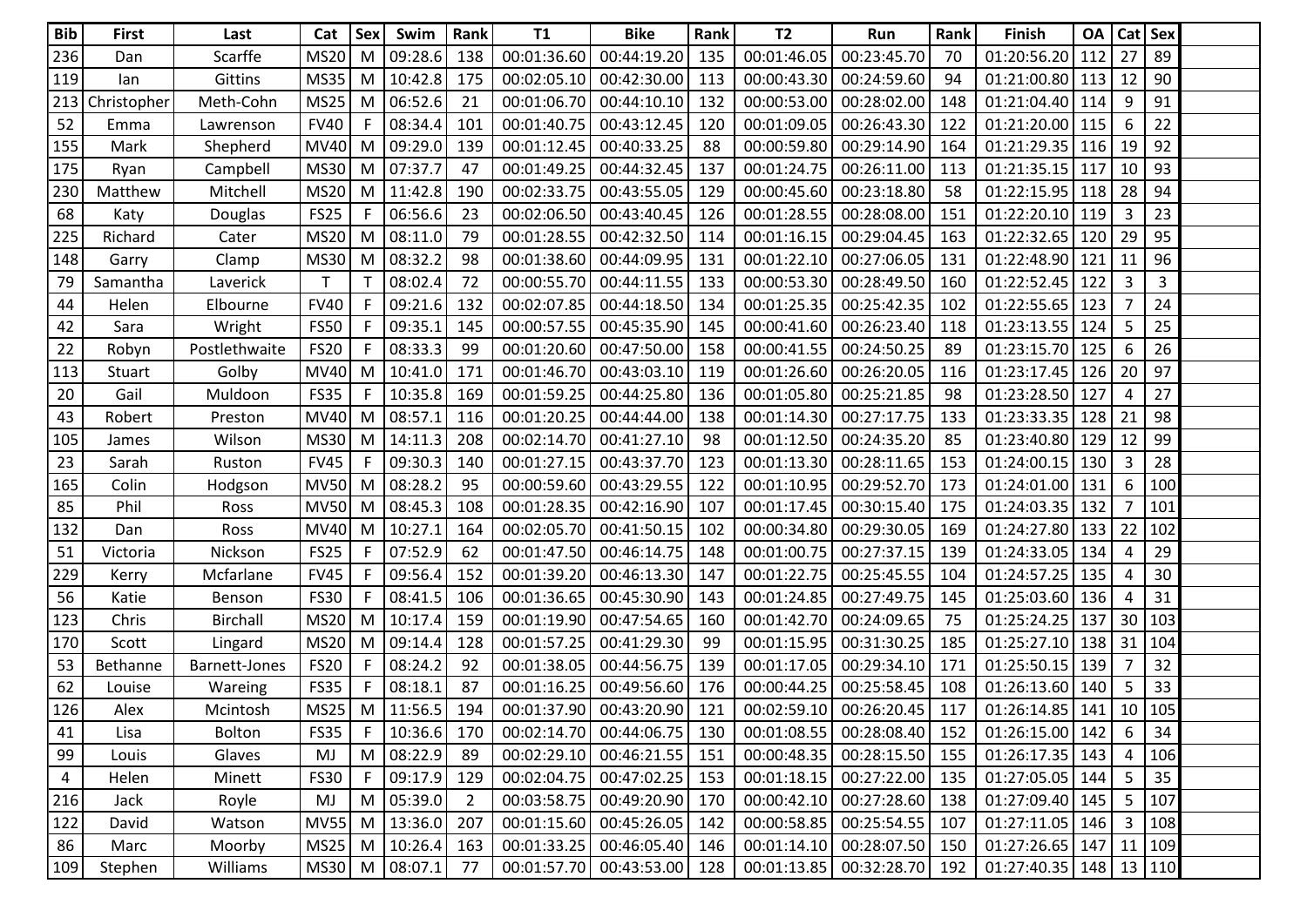| <b>Bib</b>     | <b>First</b> | Last            | Cat         | <b>Sex</b> | Swim        | Rank           | <b>T1</b>   | <b>Bike</b>                 | Rank | <b>T2</b>   | Run                         | Rank | <b>Finish</b>            | <b>OA</b> |                 | Cat Sex        |  |
|----------------|--------------|-----------------|-------------|------------|-------------|----------------|-------------|-----------------------------|------|-------------|-----------------------------|------|--------------------------|-----------|-----------------|----------------|--|
| 236            | Dan          | Scarffe         | <b>MS20</b> | M          | 09:28.6     | 138            | 00:01:36.60 | 00:44:19.20                 | 135  | 00:01:46.05 | 00:23:45.70                 | 70   | 01:20:56.20              | 112       | 27              | 89             |  |
| 119            | lan          | Gittins         | <b>MS35</b> | M          | 10:42.8     | 175            | 00:02:05.10 | 00:42:30.00                 | 113  | 00:00:43.30 | 00:24:59.60                 | 94   | 01:21:00.80              | 113       | 12              | 90             |  |
| 213            | Christopher  | Meth-Cohn       | <b>MS25</b> | M          | 06:52.6     | 21             | 00:01:06.70 | 00:44:10.10                 | 132  | 00:00:53.00 | 00:28:02.00                 | 148  | 01:21:04.40              | 114       | -9              | 91             |  |
| 52             | Emma         | Lawrenson       | <b>FV40</b> | F          | 08:34.4     | 101            | 00:01:40.75 | 00:43:12.45                 | 120  | 00:01:09.05 | 00:26:43.30                 | 122  | 01:21:20.00              | 115       | 6               | 22             |  |
| 155            | Mark         | Shepherd        | <b>MV40</b> | M          | 09:29.0     | 139            | 00:01:12.45 | 00:40:33.25                 | 88   | 00:00:59.80 | 00:29:14.90                 | 164  | 01:21:29.35              | 116       | 19              | 92             |  |
| 175            | Ryan         | Campbell        | <b>MS30</b> | M          | 07:37.7     | 47             | 00:01:49.25 | 00:44:32.45                 | 137  | 00:01:24.75 | 00:26:11.00                 | 113  | 01:21:35.15              | 117       | 10              | 93             |  |
| 230            | Matthew      | Mitchell        | <b>MS20</b> | M          | 11:42.8     | 190            | 00:02:33.75 | 00:43:55.05                 | 129  | 00:00:45.60 | 00:23:18.80                 | 58   | 01:22:15.95              | 118       | 28              | 94             |  |
| 68             | Katy         | Douglas         | <b>FS25</b> | F          | 06:56.6     | 23             | 00:02:06.50 | 00:43:40.45                 | 126  | 00:01:28.55 | 00:28:08.00                 | 151  | 01:22:20.10              | 119       | $\overline{3}$  | 23             |  |
| 225            | Richard      | Cater           | <b>MS20</b> | M          | 08:11.0     | 79             | 00:01:28.55 | 00:42:32.50                 | 114  | 00:01:16.15 | 00:29:04.45                 | 163  | 01:22:32.65              | 120       | 29              | 95             |  |
| 148            | Garry        | Clamp           | <b>MS30</b> | M          | 08:32.2     | 98             | 00:01:38.60 | 00:44:09.95                 | 131  | 00:01:22.10 | 00:27:06.05                 | 131  | 01:22:48.90              | 121       | 11              | 96             |  |
| 79             | Samantha     | Laverick        | T.          |            | 08:02.4     | 72             | 00:00:55.70 | 00:44:11.55                 | 133  | 00:00:53.30 | 00:28:49.50                 | 160  | 01:22:52.45              | 122       | $\overline{3}$  | $\overline{3}$ |  |
| 44             | Helen        | Elbourne        | <b>FV40</b> | F          | 09:21.6     | 132            | 00:02:07.85 | 00:44:18.50                 | 134  | 00:01:25.35 | 00:25:42.35                 | 102  | 01:22:55.65              | 123       | 7               | 24             |  |
| 42             | Sara         | Wright          | <b>FS50</b> | F          | 09:35.1     | 145            | 00:00:57.55 | 00:45:35.90                 | 145  | 00:00:41.60 | 00:26:23.40                 | 118  | 01:23:13.55              | 124       | 5               | 25             |  |
| 22             | Robyn        | Postlethwaite   | <b>FS20</b> | F          | 08:33.3     | 99             | 00:01:20.60 | 00:47:50.00                 | 158  | 00:00:41.55 | 00:24:50.25                 | 89   | 01:23:15.70              | 125       | 6               | 26             |  |
| 113            | Stuart       | Golby           | MV40        | M          | 10:41.0     | 171            | 00:01:46.70 | 00:43:03.10                 | 119  | 00:01:26.60 | 00:26:20.05                 | 116  | 01:23:17.45              | 126       | 20              | 97             |  |
| 20             | Gail         | Muldoon         | <b>FS35</b> | F          | 10:35.8     | 169            | 00:01:59.25 | 00:44:25.80                 | 136  | 00:01:05.80 | 00:25:21.85                 | 98   | 01:23:28.50              | 127       | 4               | 27             |  |
| 43             | Robert       | Preston         | MV40        | M          | 08:57.1     | 116            | 00:01:20.25 | 00:44:44.00                 | 138  | 00:01:14.30 | 00:27:17.75                 | 133  | 01:23:33.35              | 128       | 21              | 98             |  |
| 105            | James        | Wilson          | <b>MS30</b> | M          | 14:11.3     | 208            | 00:02:14.70 | 00:41:27.10                 | 98   | 00:01:12.50 | 00:24:35.20                 | 85   | 01:23:40.80              | 129       | 12              | 99             |  |
| 23             | Sarah        | Ruston          | <b>FV45</b> | F          | 09:30.3     | 140            | 00:01:27.15 | 00:43:37.70                 | 123  | 00:01:13.30 | 00:28:11.65                 | 153  | 01:24:00.15              | 130       | $\overline{3}$  | 28             |  |
| 165            | Colin        | Hodgson         | <b>MV50</b> | M          | 08:28.2     | 95             | 00:00:59.60 | 00:43:29.55                 | 122  | 00:01:10.95 | 00:29:52.70                 | 173  | 01:24:01.00              | 131       | 6               | 100            |  |
| 85             | Phil         | Ross            | <b>MV50</b> | M          | 08:45.3     | 108            | 00:01:28.35 | 00:42:16.90                 | 107  | 00:01:17.45 | 00:30:15.40                 | 175  | 01:24:03.35              | 132       | 7               | 101            |  |
| 132            | Dan          | Ross            | <b>MV40</b> | M          | 10:27.1     | 164            | 00:02:05.70 | 00:41:50.15                 | 102  | 00:00:34.80 | 00:29:30.05                 | 169  | 01:24:27.80              | 133       | 22              | 102            |  |
| 51             | Victoria     | Nickson         | <b>FS25</b> | F          | 07:52.9     | 62             | 00:01:47.50 | 00:46:14.75                 | 148  | 00:01:00.75 | 00:27:37.15                 | 139  | 01:24:33.05              | 134       | $\overline{4}$  | 29             |  |
| 229            | Kerry        | Mcfarlane       | <b>FV45</b> |            | 09:56.4     | 152            | 00:01:39.20 | 00:46:13.30                 | 147  | 00:01:22.75 | 00:25:45.55                 | 104  | 01:24:57.25              | 135       | 4               | 30             |  |
| 56             | Katie        | Benson          | <b>FS30</b> | F          | 08:41.5     | 106            | 00:01:36.65 | 00:45:30.90                 | 143  | 00:01:24.85 | 00:27:49.75                 | 145  | 01:25:03.60              | 136       | 4               | 31             |  |
| 123            | Chris        | <b>Birchall</b> | <b>MS20</b> | M          | 10:17.4     | 159            | 00:01:19.90 | 00:47:54.65                 | 160  | 00:01:42.70 | 00:24:09.65                 | 75   | 01:25:24.25              | 137       | 30              | 103            |  |
| 170            | Scott        | Lingard         | <b>MS20</b> | M          | 09:14.4     | 128            | 00:01:57.25 | 00:41:29.30                 | 99   | 00:01:15.95 | 00:31:30.25                 | 185  | 01:25:27.10              | 138       | 31              | 104            |  |
| 53             | Bethanne     | Barnett-Jones   | <b>FS20</b> | F          | 08:24.2     | 92             | 00:01:38.05 | 00:44:56.75                 | 139  | 00:01:17.05 | 00:29:34.10                 | 171  | 01:25:50.15              | 139       | $\overline{7}$  | 32             |  |
| 62             | Louise       | Wareing         | <b>FS35</b> |            | 08:18.1     | 87             | 00:01:16.25 | 00:49:56.60                 | 176  | 00:00:44.25 | 00:25:58.45                 | 108  | 01:26:13.60              | 140       | -5              | 33             |  |
| 126            | Alex         | Mcintosh        | <b>MS25</b> | M          | 11:56.5     | 194            | 00:01:37.90 | 00:43:20.90                 | 121  | 00:02:59.10 | 00:26:20.45                 | 117  | 01:26:14.85   141        |           |                 | 10 105         |  |
| 41             | Lisa         | Bolton          | <b>FS35</b> | F          | 10:36.6 170 |                |             | 00:02:14.70 00:44:06.75 130 |      |             | 00:01:08.55 00:28:08.40 152 |      | $01:26:15.00$ 142        |           | 6               | 34             |  |
| 99             | Louis        | Glaves          | MJ          | M          | 08:22.9     | 89             | 00:02:29.10 | 00:46:21.55                 | 151  | 00:00:48.35 | 00:28:15.50                 | 155  | 01:26:17.35 143          |           | 4               | 106            |  |
| $\overline{a}$ | Helen        | Minett          | <b>FS30</b> | F          | 09:17.9     | 129            | 00:02:04.75 | 00:47:02.25                 | 153  | 00:01:18.15 | 00:27:22.00                 | 135  | 01:27:05.05   144        |           | $5\phantom{.0}$ | 35             |  |
| 216            | Jack         | Royle           | MJ          | M          | 05:39.0     | $\overline{2}$ | 00:03:58.75 | 00:49:20.90                 | 170  | 00:00:42.10 | 00:27:28.60                 | 138  | 01:27:09.40 145          |           | $5\phantom{.0}$ | 107            |  |
| 122            | David        | Watson          | <b>MV55</b> | M          | 13:36.0     | 207            | 00:01:15.60 | 00:45:26.05                 | 142  | 00:00:58.85 | 00:25:54.55                 | 107  | $01:27:11.05$ 146 3      |           |                 | 108            |  |
| 86             | Marc         | Moorby          | <b>MS25</b> | M          | 10:26.4     | 163            | 00:01:33.25 | 00:46:05.40                 | 146  | 00:01:14.10 | 00:28:07.50                 | 150  | $01:27:26.65$ 147 11 109 |           |                 |                |  |
| 109            | Stephen      | Williams        | MS30 M      |            | 08:07.1     | 77             |             | 00:01:57.70 00:43:53.00     | 128  | 00:01:13.85 | 00:32:28.70                 | 192  | $01:27:40.35$ 148 13 110 |           |                 |                |  |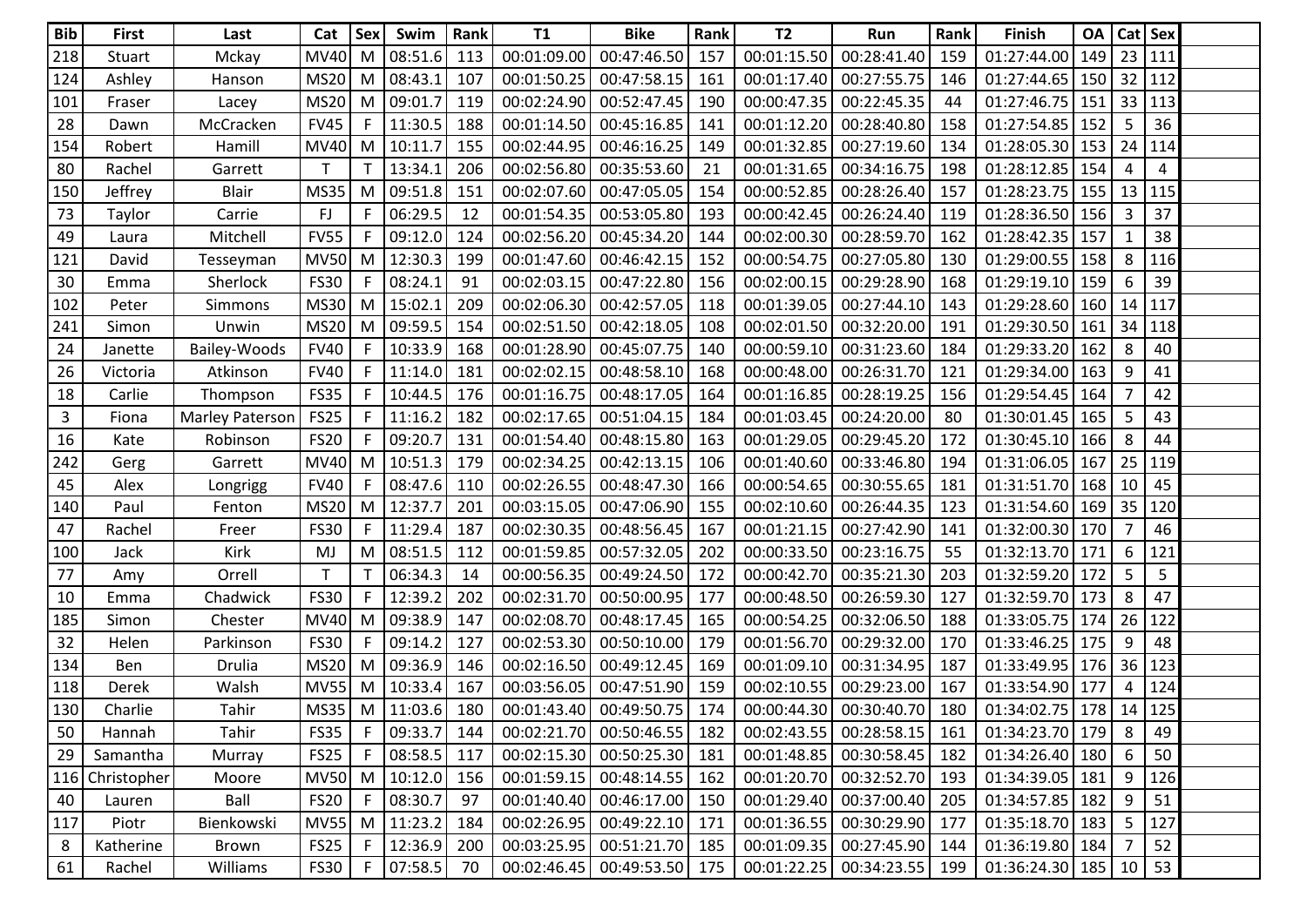| <b>Bib</b>   | <b>First</b>    | Last                   | Cat         | <b>Sex</b> | Swim    | Rank | <b>T1</b>   | <b>Bike</b>                 | Rank | <b>T2</b>   | Run                         | Rank | <b>Finish</b>                | <b>OA</b>  |                | Cat Sex |  |
|--------------|-----------------|------------------------|-------------|------------|---------|------|-------------|-----------------------------|------|-------------|-----------------------------|------|------------------------------|------------|----------------|---------|--|
| 218          | Stuart          | Mckay                  | <b>MV40</b> | M          | 08:51.6 | 113  | 00:01:09.00 | 00:47:46.50                 | 157  | 00:01:15.50 | 00:28:41.40                 | 159  | 01:27:44.00                  | 149        |                | 23 111  |  |
| 124          | Ashley          | Hanson                 | <b>MS20</b> | M          | 08:43.1 | 107  | 00:01:50.25 | 00:47:58.15                 | 161  | 00:01:17.40 | 00:27:55.75                 | 146  | 01:27:44.65                  | 150        | 32             | 112     |  |
| 101          | Fraser          | Lacey                  | <b>MS20</b> | M          | 09:01.7 | 119  | 00:02:24.90 | 00:52:47.45                 | 190  | 00:00:47.35 | 00:22:45.35                 | 44   | 01:27:46.75                  | 151 33 113 |                |         |  |
| 28           | Dawn            | McCracken              | <b>FV45</b> | F          | 11:30.5 | 188  | 00:01:14.50 | 00:45:16.85                 | 141  | 00:01:12.20 | 00:28:40.80                 | 158  | 01:27:54.85                  | 152        | - 5            | 36      |  |
| 154          | Robert          | Hamill                 | <b>MV40</b> | M          | 10:11.7 | 155  | 00:02:44.95 | 00:46:16.25                 | 149  | 00:01:32.85 | 00:27:19.60                 | 134  | 01:28:05.30                  | 153        | 24             | 114     |  |
| 80           | Rachel          | Garrett                | T           |            | 13:34.1 | 206  | 00:02:56.80 | 00:35:53.60                 | 21   | 00:01:31.65 | 00:34:16.75                 | 198  | 01:28:12.85                  | 154        | 4              | 4       |  |
| 150          | Jeffrey         | Blair                  | <b>MS35</b> | M          | 09:51.8 | 151  | 00:02:07.60 | 00:47:05.05                 | 154  | 00:00:52.85 | 00:28:26.40                 | 157  | 01:28:23.75                  | 155        | 13             | 115     |  |
| 73           | Taylor          | Carrie                 | FJ          | F          | 06:29.5 | 12   | 00:01:54.35 | 00:53:05.80                 | 193  | 00:00:42.45 | 00:26:24.40                 | 119  | 01:28:36.50                  | 156        | $\overline{3}$ | 37      |  |
| 49           | Laura           | Mitchell               | <b>FV55</b> | F          | 09:12.0 | 124  | 00:02:56.20 | 00:45:34.20                 | 144  | 00:02:00.30 | 00:28:59.70                 | 162  | 01:28:42.35                  | 157        | $\overline{1}$ | 38      |  |
| 121          | David           | Tesseyman              | <b>MV50</b> | M          | 12:30.3 | 199  | 00:01:47.60 | 00:46:42.15                 | 152  | 00:00:54.75 | 00:27:05.80                 | 130  | 01:29:00.55                  | 158        | 8              | 116     |  |
| 30           | Emma            | Sherlock               | <b>FS30</b> | F          | 08:24.1 | 91   | 00:02:03.15 | 00:47:22.80                 | 156  | 00:02:00.15 | 00:29:28.90                 | 168  | 01:29:19.10                  | 159        | 6              | 39      |  |
| 102          | Peter           | Simmons                | <b>MS30</b> | M          | 15:02.1 | 209  | 00:02:06.30 | 00:42:57.05                 | 118  | 00:01:39.05 | 00:27:44.10                 | 143  | 01:29:28.60                  | 160        | 14             | 117     |  |
| 241          | Simon           | Unwin                  | <b>MS20</b> | M          | 09:59.5 | 154  | 00:02:51.50 | 00:42:18.05                 | 108  | 00:02:01.50 | 00:32:20.00                 | 191  | 01:29:30.50                  | 161        | 34             | 118     |  |
| 24           | Janette         | Bailey-Woods           | <b>FV40</b> | F          | 10:33.9 | 168  | 00:01:28.90 | 00:45:07.75                 | 140  | 00:00:59.10 | 00:31:23.60                 | 184  | 01:29:33.20                  | 162        | 8              | 40      |  |
| 26           | Victoria        | Atkinson               | <b>FV40</b> | F          | 11:14.0 | 181  | 00:02:02.15 | 00:48:58.10                 | 168  | 00:00:48.00 | 00:26:31.70                 | 121  | 01:29:34.00                  | 163        | 9              | 41      |  |
| 18           | Carlie          | Thompson               | <b>FS35</b> | F          | 10:44.5 | 176  | 00:01:16.75 | 00:48:17.05                 | 164  | 00:01:16.85 | 00:28:19.25                 | 156  | 01:29:54.45                  | 164        | 7              | 42      |  |
| $\mathbf{3}$ | Fiona           | <b>Marley Paterson</b> | <b>FS25</b> |            | 11:16.2 | 182  | 00:02:17.65 | 00:51:04.15                 | 184  | 00:01:03.45 | 00:24:20.00                 | 80   | 01:30:01.45                  | 165        | 5              | 43      |  |
| 16           | Kate            | Robinson               | <b>FS20</b> | F          | 09:20.7 | 131  | 00:01:54.40 | 00:48:15.80                 | 163  | 00:01:29.05 | 00:29:45.20                 | 172  | 01:30:45.10                  | 166        | 8              | 44      |  |
| 242          | Gerg            | Garrett                | <b>MV40</b> | M          | 10:51.3 | 179  | 00:02:34.25 | 00:42:13.15                 | 106  | 00:01:40.60 | 00:33:46.80                 | 194  | 01:31:06.05                  | 167        | 25             | 119     |  |
| 45           | Alex            | Longrigg               | <b>FV40</b> | F          | 08:47.6 | 110  | 00:02:26.55 | 00:48:47.30                 | 166  | 00:00:54.65 | 00:30:55.65                 | 181  | 01:31:51.70                  | 168        | 10             | 45      |  |
| 140          | Paul            | Fenton                 | <b>MS20</b> | M          | 12:37.7 | 201  | 00:03:15.05 | 00:47:06.90                 | 155  | 00:02:10.60 | 00:26:44.35                 | 123  | 01:31:54.60                  | 169        | 35             | 120     |  |
| 47           | Rachel          | Freer                  | <b>FS30</b> | F          | 11:29.4 | 187  | 00:02:30.35 | 00:48:56.45                 | 167  | 00:01:21.15 | 00:27:42.90                 | 141  | 01:32:00.30                  | 170        | $\overline{7}$ | 46      |  |
| 100          | Jack            | Kirk                   | MJ          | M          | 08:51.5 | 112  | 00:01:59.85 | 00:57:32.05                 | 202  | 00:00:33.50 | 00:23:16.75                 | 55   | 01:32:13.70                  | 171        | 6              | 121     |  |
| 77           | Amy             | Orrell                 | T           |            | 06:34.3 | 14   | 00:00:56.35 | 00:49:24.50                 | 172  | 00:00:42.70 | 00:35:21.30                 | 203  | 01:32:59.20                  | 172        | -5             | 5       |  |
| 10           | Emma            | Chadwick               | <b>FS30</b> | F          | 12:39.2 | 202  | 00:02:31.70 | 00:50:00.95                 | 177  | 00:00:48.50 | 00:26:59.30                 | 127  | 01:32:59.70                  | 173        | 8              | 47      |  |
| 185          | Simon           | Chester                | <b>MV40</b> | M          | 09:38.9 | 147  | 00:02:08.70 | 00:48:17.45                 | 165  | 00:00:54.25 | 00:32:06.50                 | 188  | 01:33:05.75                  | 174        | 26             | 122     |  |
| 32           | Helen           | Parkinson              | <b>FS30</b> | F          | 09:14.2 | 127  | 00:02:53.30 | 00:50:10.00                 | 179  | 00:01:56.70 | 00:29:32.00                 | 170  | 01:33:46.25                  | 175        | 9              | 48      |  |
| 134          | Ben             | Drulia                 | <b>MS20</b> | M          | 09:36.9 | 146  | 00:02:16.50 | 00:49:12.45                 | 169  | 00:01:09.10 | 00:31:34.95                 | 187  | 01:33:49.95                  | $176$ 36   |                | 123     |  |
| 118          | Derek           | Walsh                  | <b>MV55</b> | M          | 10:33.4 | 167  | 00:03:56.05 | 00:47:51.90                 | 159  | 00:02:10.55 | 00:29:23.00                 | 167  | 01:33:54.90                  | 177        | 4              | 124     |  |
| 130          | Charlie         | Tahir                  | <b>MS35</b> | M          | 11:03.6 | 180  | 00:01:43.40 | 00:49:50.75                 | 174  | 00:00:44.30 | 00:30:40.70                 | 180  | 01:34:02.75   178   14   125 |            |                |         |  |
| 50           | Hannah          | Tahir                  | <b>FS35</b> | F          | 09:33.7 | 144  |             | 00:02:21.70 00:50:46.55 182 |      |             | 00:02:43.55 00:28:58.15 161 |      | 01:34:23.70 179              |            | 8              | 49      |  |
| 29           | Samantha        | Murray                 | <b>FS25</b> | F          | 08:58.5 | 117  |             | 00:02:15.30 00:50:25.30     | 181  | 00:01:48.85 | 00:30:58.45                 | 182  | 01:34:26.40 180              |            | 6              | 50      |  |
|              | 116 Christopher | Moore                  | <b>MV50</b> | M          | 10:12.0 | 156  | 00:01:59.15 | 00:48:14.55 162             |      | 00:01:20.70 | 00:32:52.70                 | 193  | 01:34:39.05   181            |            | 9              | 126     |  |
| 40           | Lauren          | Ball                   | <b>FS20</b> | F          | 08:30.7 | 97   | 00:01:40.40 | 00:46:17.00                 | 150  | 00:01:29.40 | 00:37:00.40                 | 205  | 01:34:57.85                  | 182        | -9             | 51      |  |
| 117          | Piotr           | Bienkowski             | <b>MV55</b> | M          | 11:23.2 | 184  | 00:02:26.95 | 00:49:22.10 171             |      | 00:01:36.55 | 00:30:29.90                 | 177  | $01:35:18.70$ 183 5          |            |                | 127     |  |
| 8            | Katherine       | Brown                  | <b>FS25</b> | F          | 12:36.9 | 200  | 00:03:25.95 | 00:51:21.70 185             |      | 00:01:09.35 | 00:27:45.90                 | 144  | 01:36:19.80   184            |            | $\overline{7}$ | 52      |  |
| 61           | Rachel          | Williams               | <b>FS30</b> | F          | 07:58.5 | 70   | 00:02:46.45 | 00:49:53.50 175             |      | 00:01:22.25 | 00:34:23.55                 | 199  | $01:36:24.30$ 185 10         |            |                | 53      |  |